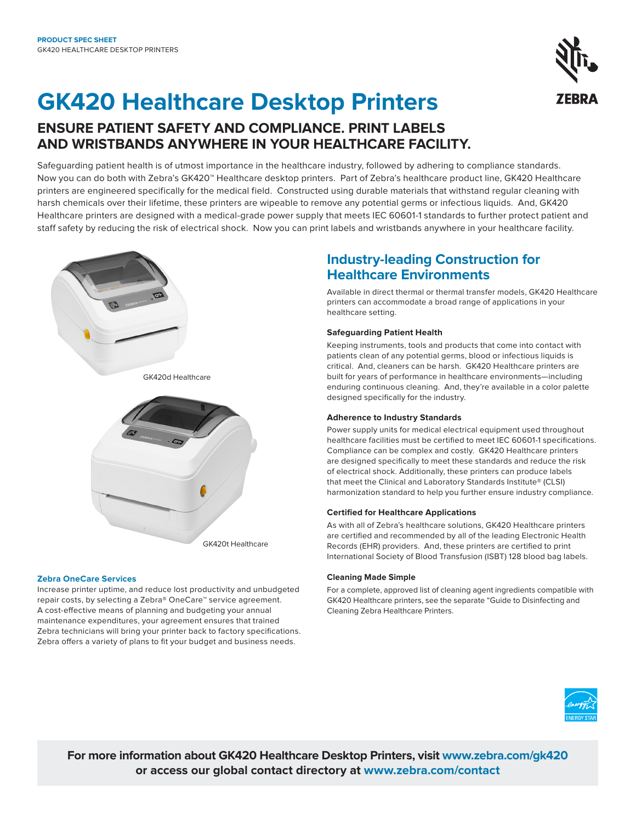# **GK420 Healthcare Desktop Printers**

## **ENSURE PATIENT SAFETY AND COMPLIANCE. PRINT LABELS AND WRISTBANDS ANYWHERE IN YOUR HEALTHCARE FACILITY.**

Safeguarding patient health is of utmost importance in the healthcare industry, followed by adhering to compliance standards. Now you can do both with Zebra's GK420™ Healthcare desktop printers. Part of Zebra's healthcare product line, GK420 Healthcare printers are engineered specifically for the medical field. Constructed using durable materials that withstand regular cleaning with harsh chemicals over their lifetime, these printers are wipeable to remove any potential germs or infectious liquids. And, GK420 Healthcare printers are designed with a medical-grade power supply that meets IEC 60601-1 standards to further protect patient and staff safety by reducing the risk of electrical shock. Now you can print labels and wristbands anywhere in your healthcare facility.

## **Industry-leading Construction for Healthcare Environments**

Available in direct thermal or thermal transfer models, GK420 Healthcare printers can accommodate a broad range of applications in your healthcare setting.

#### **Safeguarding Patient Health**

Keeping instruments, tools and products that come into contact with patients clean of any potential germs, blood or infectious liquids is critical. And, cleaners can be harsh. GK420 Healthcare printers are built for years of performance in healthcare environments—including enduring continuous cleaning. And, they're available in a color palette designed specifically for the industry.

#### **Adherence to Industry Standards**

Power supply units for medical electrical equipment used throughout healthcare facilities must be certified to meet IEC 60601-1 specifications. Compliance can be complex and costly. GK420 Healthcare printers are designed specifically to meet these standards and reduce the risk of electrical shock. Additionally, these printers can produce labels that meet the Clinical and Laboratory Standards Institute® (CLSI) harmonization standard to help you further ensure industry compliance.

#### **Certified for Healthcare Applications**

As with all of Zebra's healthcare solutions, GK420 Healthcare printers are certified and recommended by all of the leading Electronic Health Records (EHR) providers. And, these printers are certified to print International Society of Blood Transfusion (ISBT) 128 blood bag labels.

#### **Cleaning Made Simple**

For a complete, approved list of cleaning agent ingredients compatible with GK420 Healthcare printers, see the separate "Guide to Disinfecting and Cleaning Zebra Healthcare Printers.



**For more information about GK420 Healthcare Desktop Printers, visit [www.zebra.com/gk420](https://www.zebra.com/us/en/products/printers/desktop/advanced-desktop-printers.html) or access our global contact directory at [www.zebra.com/contact](http://www.zebra.com/contact)**

## **Zebra OneCare Services**

Increase printer uptime, and reduce lost productivity and unbudgeted repair costs, by selecting a Zebra® OneCare™ service agreement. A cost-effective means of planning and budgeting your annual maintenance expenditures, your agreement ensures that trained Zebra technicians will bring your printer back to factory specifications. Zebra offers a variety of plans to fit your budget and business needs.





GK420t Healthcare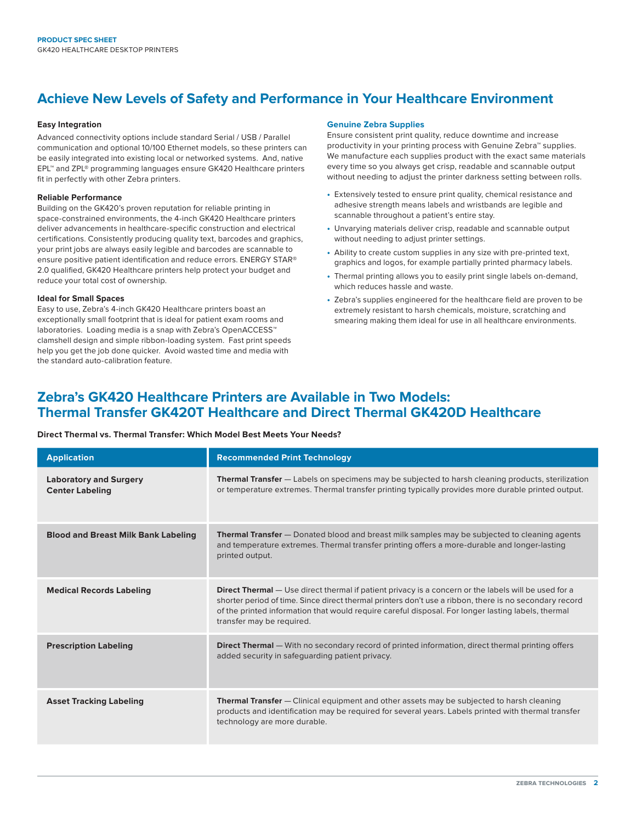## **Achieve New Levels of Safety and Performance in Your Healthcare Environment**

#### **Easy Integration**

Advanced connectivity options include standard Serial / USB / Parallel communication and optional 10/100 Ethernet models, so these printers can be easily integrated into existing local or networked systems. And, native EPL™ and ZPL® programming languages ensure GK420 Healthcare printers fit in perfectly with other Zebra printers.

#### **Reliable Performance**

Building on the GK420's proven reputation for reliable printing in space-constrained environments, the 4-inch GK420 Healthcare printers deliver advancements in healthcare-specific construction and electrical certifications. Consistently producing quality text, barcodes and graphics, your print jobs are always easily legible and barcodes are scannable to ensure positive patient identification and reduce errors. ENERGY STAR® 2.0 qualified, GK420 Healthcare printers help protect your budget and reduce your total cost of ownership.

#### **Ideal for Small Spaces**

Easy to use, Zebra's 4-inch GK420 Healthcare printers boast an exceptionally small footprint that is ideal for patient exam rooms and laboratories. Loading media is a snap with Zebra's OpenACCESS™ clamshell design and simple ribbon-loading system. Fast print speeds help you get the job done quicker. Avoid wasted time and media with the standard auto-calibration feature.

#### **Genuine Zebra Supplies**

Ensure consistent print quality, reduce downtime and increase productivity in your printing process with Genuine Zebra™ supplies. We manufacture each supplies product with the exact same materials every time so you always get crisp, readable and scannable output without needing to adjust the printer darkness setting between rolls.

- **•** Extensively tested to ensure print quality, chemical resistance and adhesive strength means labels and wristbands are legible and scannable throughout a patient's entire stay.
- **•** Unvarying materials deliver crisp, readable and scannable output without needing to adjust printer settings.
- **•** Ability to create custom supplies in any size with pre-printed text, graphics and logos, for example partially printed pharmacy labels.
- **•** Thermal printing allows you to easily print single labels on-demand, which reduces hassle and waste.
- **•** Zebra's supplies engineered for the healthcare field are proven to be extremely resistant to harsh chemicals, moisture, scratching and smearing making them ideal for use in all healthcare environments.

### **Zebra's GK420 Healthcare Printers are Available in Two Models: Thermal Transfer GK420T Healthcare and Direct Thermal GK420D Healthcare**

#### **Direct Thermal vs. Thermal Transfer: Which Model Best Meets Your Needs?**

| <b>Application</b>                                      | <b>Recommended Print Technology</b>                                                                                                                                                                                                                                                                                                                      |  |
|---------------------------------------------------------|----------------------------------------------------------------------------------------------------------------------------------------------------------------------------------------------------------------------------------------------------------------------------------------------------------------------------------------------------------|--|
| <b>Laboratory and Surgery</b><br><b>Center Labeling</b> | <b>Thermal Transfer</b> - Labels on specimens may be subjected to harsh cleaning products, sterilization<br>or temperature extremes. Thermal transfer printing typically provides more durable printed output.                                                                                                                                           |  |
| <b>Blood and Breast Milk Bank Labeling</b>              | <b>Thermal Transfer</b> - Donated blood and breast milk samples may be subjected to cleaning agents<br>and temperature extremes. Thermal transfer printing offers a more-durable and longer-lasting<br>printed output.                                                                                                                                   |  |
| <b>Medical Records Labeling</b>                         | <b>Direct Thermal</b> - Use direct thermal if patient privacy is a concern or the labels will be used for a<br>shorter period of time. Since direct thermal printers don't use a ribbon, there is no secondary record<br>of the printed information that would require careful disposal. For longer lasting labels, thermal<br>transfer may be required. |  |
| <b>Prescription Labeling</b>                            | <b>Direct Thermal</b> — With no secondary record of printed information, direct thermal printing offers<br>added security in safequarding patient privacy.                                                                                                                                                                                               |  |
| <b>Asset Tracking Labeling</b>                          | <b>Thermal Transfer</b> – Clinical equipment and other assets may be subjected to harsh cleaning<br>products and identification may be required for several years. Labels printed with thermal transfer<br>technology are more durable.                                                                                                                  |  |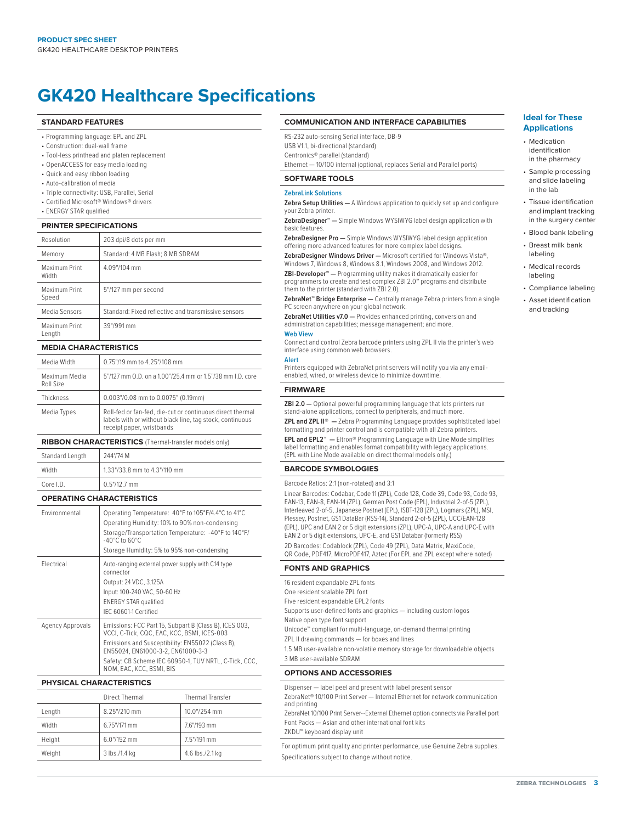## **GK420 Healthcare Specifications**

#### **STANDARD FEATURES**

- Programming language: EPL and ZPL
- Construction: dual-wall frame
- Tool-less printhead and platen replacement
- OpenACCESS for easy media loading
- Quick and easy ribbon loading
- Auto-calibration of media
- Triple connectivity: USB, Parallel, Serial
- Certified Microsoft® Windows® drivers
- ENERGY STAR qualified

#### **PRINTER SPECIFICATIONS**

| Resolution              | 203 dpi/8 dots per mm                               |  |
|-------------------------|-----------------------------------------------------|--|
| Memory                  | Standard: 4 MB Flash; 8 MB SDRAM                    |  |
| Maximum Print<br>Width  | 4.09"/104 mm                                        |  |
| Maximum Print<br>Speed  | 5"/127 mm per second                                |  |
| Media Sensors           | Standard: Fixed reflective and transmissive sensors |  |
| Maximum Print<br>Length | 39"/991 mm                                          |  |

#### **MEDIA CHARACTERISTICS**

| Media Width                | 0.75"/19 mm to 4.25"/108 mm                                                                                                                        |
|----------------------------|----------------------------------------------------------------------------------------------------------------------------------------------------|
| Maximum Media<br>Roll Size | 5"/127 mm O.D. on a 1.00"/25.4 mm or 1.5"/38 mm I.D. core                                                                                          |
| Thickness                  | 0.003"/0.08 mm to 0.0075" (0.19mm)                                                                                                                 |
| Media Types                | Roll-fed or fan-fed, die-cut or continuous direct thermal<br>labels with or without black line, tag stock, continuous<br>receipt paper, wristbands |

#### **RIBBON CHARACTERISTICS** (Thermal-transfer models only)

| Standard Length | 244'/74 M                    |
|-----------------|------------------------------|
| $1.4.77 - 1.1$  | $\left\langle \right\rangle$ |

| Width     | $1.33''/33.8$ mm to $4.3''/110$ mm |  |
|-----------|------------------------------------|--|
| Core I.D. | $0.5''/12.7$ mm                    |  |

#### **OPERATING CHARACTERISTICS**

| Fnvironmental    | Operating Temperature: 40°F to 105°F/4.4°C to 41°C<br>Operating Humidity: 10% to 90% non-condensing<br>Storage/Transportation Temperature: -40°F to 140°F/<br>$-40^{\circ}$ C to 60 $^{\circ}$ C<br>Storage Humidity: 5% to 95% non-condensing                                      |
|------------------|-------------------------------------------------------------------------------------------------------------------------------------------------------------------------------------------------------------------------------------------------------------------------------------|
| Flectrical       | Auto-ranging external power supply with C14 type<br>connector<br>Output: 24 VDC, 3.125A<br>Input: 100-240 VAC, 50-60 Hz<br><b>ENERGY STAR qualified</b><br>IFC 60601-1 Certified                                                                                                    |
| Agency Approvals | Emissions: FCC Part 15, Subpart B (Class B), ICES 003,<br>VCCI, C-Tick, CQC, EAC, KCC, BSMI, ICES-003<br>Emissions and Susceptibility: EN55022 (Class B),<br>EN55024. EN61000-3-2. EN61000-3-3<br>Safety: CB Scheme IEC 60950-1, TUV NRTL, C-Tick, CCC,<br>NOM, EAC, KCC, BSMI, BIS |

#### **PHYSICAL CHARACTERISTICS**

|        | Direct Thermal | <b>Thermal Transfer</b> |
|--------|----------------|-------------------------|
| Length | 8.25"/210 mm   | 10.0"/254 mm            |
| Width  | 6.75"/171 mm   | 7.6"/193 mm             |
| Height | $6.0$ "/152 mm | 7.5"/191 mm             |
| Weight | 3 lbs./1.4 kg  | 4.6 lbs./2.1 kg         |

#### **COMMUNICATION AND INTERFACE CAPABILITIES**

- RS-232 auto-sensing Serial interface, DB-9 USB V1.1, bi-directional (standard) Centronics® parallel (standard)
- 

Ethernet — 10/100 internal (optional, replaces Serial and Parallel ports)

#### **SOFTWARE TOOLS**

#### **ZebraLink Solutions**

**Zebra Setup Utilities —** A Windows application to quickly set up and configure your Zebra printer.

**ZebraDesigner™ —** Simple Windows WYSIWYG label design application with basic features.

**ZebraDesigner Pro —** Simple Windows WYSIWYG label design application offering more advanced features for more complex label designs.

**ZebraDesigner Windows Driver —** Microsoft certified for Windows Vista®, Windows 7, Windows 8, Windows 8.1, Windows 2008, and Windows 2012. **ZBI-Developer™ —** Programming utility makes it dramatically easier for programmers to create and test complex ZBI 2.0™ programs and distribute them to the printer (standard with ZBI 2.0).

**ZebraNet™ Bridge Enterprise —** Centrally manage Zebra printers from a single PC screen anywhere on your global network.

**ZebraNet Utilities v7.0 —** Provides enhanced printing, conversion and administration capabilities; message management; and more.

#### **Web View**

Connect and control Zebra barcode printers using ZPL II via the printer's web interface using common web browsers.

**Alert**  Printers equipped with ZebraNet print servers will notify you via any email-

enabled, wired, or wireless device to minimize downtime.

#### **FIRMWARE**

**ZBI 2.0 —** Optional powerful programming language that lets printers run stand-alone applications, connect to peripherals, and much more.

**ZPL and ZPL II® —** Zebra Programming Language provides sophisticated label formatting and printer control and is compatible with all Zebra printers.

**EPL and EPL2™ —** Eltron® Programming Language with Line Mode simplifies label formatting and enables format compatibility with legacy applications. (EPL with Line Mode available on direct thermal models only.)

#### **BARCODE SYMBOLOGIES**

#### Barcode Ratios: 2:1 (non-rotated) and 3:1

Linear Barcodes: Codabar, Code 11 (ZPL), Code 128, Code 39, Code 93, Code 93, EAN-13, EAN-8, EAN-14 (ZPL), German Post Code (EPL), Industrial 2-of-5 (ZPL), Interleaved 2-of-5, Japanese Postnet (EPL), ISBT-128 (ZPL), Logmars (ZPL), MSI, Plessey, Postnet, GS1 DataBar (RSS-14), Standard 2-of-5 (ZPL), UCC/EAN-128 (EPL), UPC and EAN 2 or 5 digit extensions (ZPL), UPC-A, UPC-A and UPC-E with EAN 2 or 5 digit extensions, UPC-E, and GS1 Databar (formerly RSS) 2D Barcodes: Codablock (ZPL), Code 49 (ZPL), Data Matrix, MaxiCode, QR Code, PDF417, MicroPDF417, Aztec (For EPL and ZPL except where noted)

#### **FONTS AND GRAPHICS**

16 resident expandable ZPL fonts One resident scalable ZPL font Five resident expandable EPL2 fonts Supports user-defined fonts and graphics — including custom logos Native open type font support Unicode™ compliant for multi-language, on-demand thermal printing ZPL II drawing commands — for boxes and lines 1.5 MB user-available non-volatile memory storage for downloadable objects 3 MB user-available SDRAM

#### **OPTIONS AND ACCESSORIES**

Dispenser — label peel and present with label present sensor ZebraNet® 10/100 Print Server — Internal Ethernet for network communication and printing ZebraNet 10/100 Print Server--External Ethernet option connects via Parallel port Font Packs — Asian and other international font kits ZKDU™ keyboard display unit For optimum print quality and printer performance, use Genuine Zebra supplies. Specifications subject to change without notice.

#### **Ideal for These Applications**

- Medication identification in the pharmacy
- Sample processing and slide labeling in the lab
- Tissue identification and implant tracking in the surgery center
- Blood bank labeling
- Breast milk bank labeling
- Medical records labeling
- Compliance labeling
- Asset identification and tracking